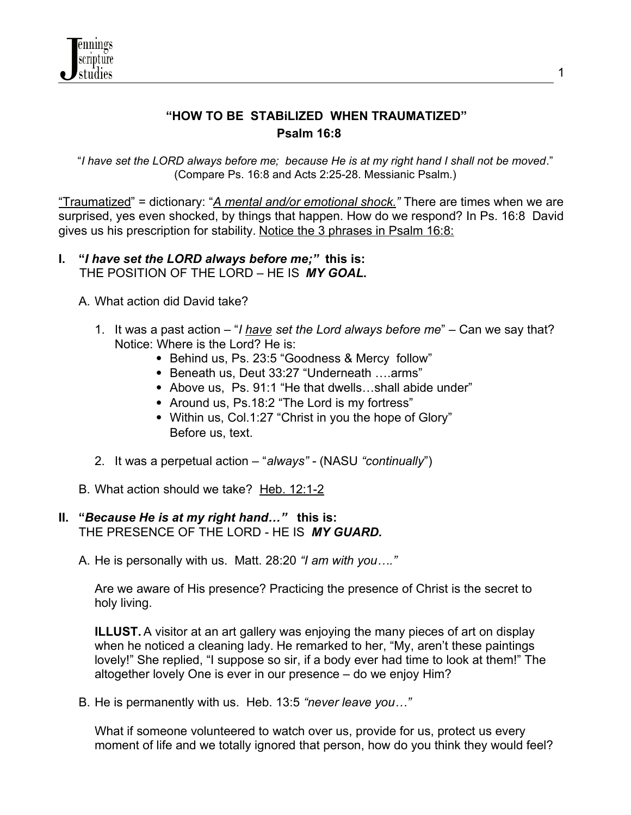

# **"HOW TO BE STABiLIZED WHEN TRAUMATIZED" Psalm 16:8**

"*I have set the LORD always before me; because He is at my right hand I shall not be moved*." (Compare Ps. 16:8 and Acts 2:25-28. Messianic Psalm.)

"Traumatized" = dictionary: "*A mental and/or emotional shock."* There are times when we are surprised, yes even shocked, by things that happen. How do we respond? In Ps. 16:8 David gives us his prescription for stability. Notice the 3 phrases in Psalm 16:8:

- **I. "***I have set the LORD always before me;"* **this is:** THE POSITION OF THE LORD – HE IS*MY GOAL***.**
	- A. What action did David take?
		- 1. It was a past action "*I have set the Lord always before me*" Can we say that? Notice: Where is the Lord? He is:
			- Behind us, Ps. 23:5 "Goodness & Mercy follow"
			- Beneath us, Deut 33:27 "Underneath ….arms"
			- Above us, Ps, 91:1 "He that dwells...shall abide under"
			- Around us, Ps.18:2 "The Lord is my fortress"
			- Within us, Col.1:27 "Christ in you the hope of Glory" Before us, text.
		- 2. It was a perpetual action "*always"* (NASU *"continually*")
	- B. What action should we take? Heb. 12:1-2

#### **II. "***Because He is at my right hand…"* **this is:** THE PRESENCE OF THE LORD - HE IS *MY GUARD.*

A. He is personally with us. Matt. 28:20 *"I am with you…."*

Are we aware of His presence? Practicing the presence of Christ is the secret to holy living.

**ILLUST.** A visitor at an art gallery was enjoying the many pieces of art on display when he noticed a cleaning lady. He remarked to her, "My, aren't these paintings lovely!" She replied, "I suppose so sir, if a body ever had time to look at them!" The altogether lovely One is ever in our presence – do we enjoy Him?

B. He is permanently with us. Heb. 13:5 *"never leave you…"* 

What if someone volunteered to watch over us, provide for us, protect us every moment of life and we totally ignored that person, how do you think they would feel?

1